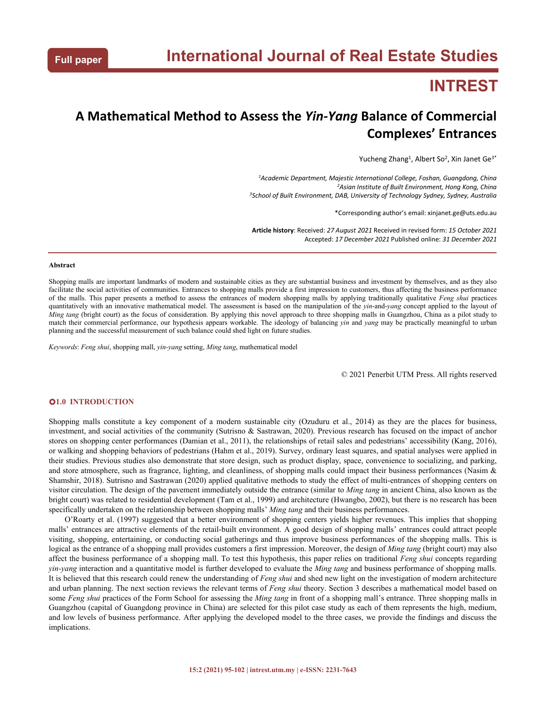# **INTREST**

# **A Mathematical Method to Assess the** *Yin-Yang* **Balance of Commercial Complexes' Entrances**

Yucheng Zhang<sup>1</sup>, Albert So<sup>2</sup>, Xin Janet Ge<sup>3\*</sup> 3\*

*<sup>1</sup>Academic Department, Majestic International College, Foshan, Guangdong, China <sup>2</sup>Asian Institute of Built Environment, Hong Kong, China <sup>3</sup>School of Built Environment, DAB, University of Technology Sydney, Sydney, Australia*

\*Corresponding author's email: xinjanet.ge@uts.edu.au

**Article history**: Received: *27 August 2021* Received in revised form: *15 October 2021* Accepted: *17 December 2021* Published online: *31 December 2021*

#### **Abstract**

Shopping malls are important landmarks of modern and sustainable cities as they are substantial business and investment by themselves, and as they also facilitate the social activities of communities. Entrances to shopping malls provide a first impression to customers, thus affecting the business performance of the malls. This paper presents a method to assess the entrances of modern shopping malls by applying traditionally qualitative *Feng shui* practices quantitatively with an innovative mathematical model. The assessment is based on the manipulation of the *yin*-and-*yang* concept applied to the layout of *Ming tang* (bright court) as the focus of consideration. By applying this novel approach to three shopping malls in Guangzhou, China as a pilot study to match their commercial performance, our hypothesis appears workable. The ideology of balancing *yin* and *yang* may be practically meaningful to urban planning and the successful measurement of such balance could shed light on future studies.

*Keywords*: *Feng shui*, shopping mall, *yin-yang* setting, *Ming tang*, mathematical model

© 2021 Penerbit UTM Press. All rights reserved

### **1.0 INTRODUCTION**

Shopping malls constitute a key component of a modern sustainable city (Ozuduru et al., 2014) as they are the places for business, investment, and social activities of the community (Sutrisno & Sastrawan, 2020). Previous research has focused on the impact of anchor stores on shopping center performances (Damian et al., 2011), the relationships of retail sales and pedestrians' accessibility (Kang, 2016), or walking and shopping behaviors of pedestrians (Hahm et al., 2019). Survey, ordinary least squares, and spatial analyses were applied in their studies. Previous studies also demonstrate that store design, such as product display, space, convenience to socializing, and parking, and store atmosphere, such as fragrance, lighting, and cleanliness, of shopping malls could impact their business performances (Nasim & Shamshir, 2018). Sutrisno and Sastrawan (2020) applied qualitative methods to study the effect of multi-entrances of shopping centers on visitor circulation. The design of the pavement immediately outside the entrance (similar to *Ming tang* in ancientChina, also known as the bright court) was related to residential development (Tam et al., 1999) and architecture (Hwangbo, 2002), but there is no research has been specifically undertaken on the relationship between shopping malls' *Ming tang* and their business performances.

O'Roarty et al. (1997) suggested that a better environment of shopping centers yields higher revenues. This implies that shopping malls' entrances are attractive elements of the retail-built environment. A good design of shopping malls' entrances could attract people visiting, shopping, entertaining, or conducting social gatherings and thus improve business performances of the shopping malls. This is logical as the entrance of a shopping mall provides customers a first impression. Moreover, the design of *Ming tang* (bright court) may also affect the business performance of a shopping mall. To test this hypothesis, this paper relies on traditional *Feng shui* concepts regarding *yin-yang* interaction and a quantitative model is further developed to evaluate the *Ming tang* and business performance of shopping malls. It is believed that this research could renew the understanding of *Feng shui* and shed new light on the investigation of modern architecture and urban planning. The next section reviews the relevant terms of*Feng shui* theory. Section 3 describes a mathematical model based on some *Feng shui* practices ofthe Form School for assessing the *Ming tang* in front of a shopping mall's entrance. Three shopping malls in Guangzhou (capital of Guangdong province in China) are selected for this pilot case study as each of them represents the high, medium, and low levels of business performance. After applying the developed model to the three cases, we provide the findings and discuss the implications.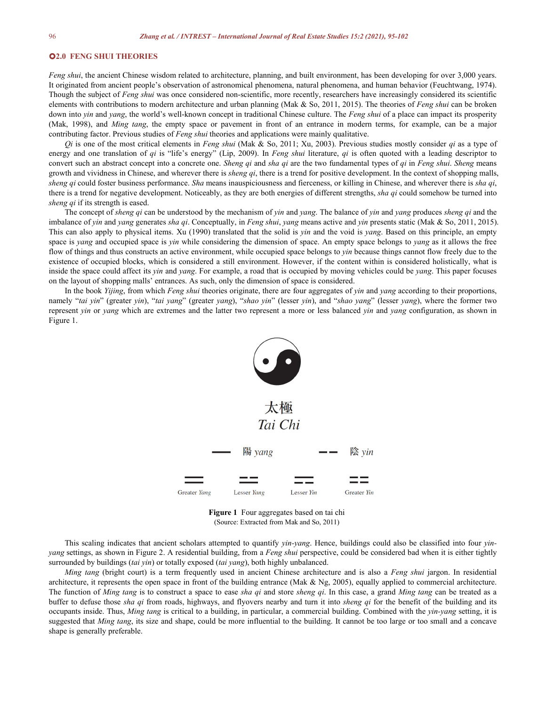## **2.0 FENG SHUI THEORIES**

*Feng shui*, the ancient Chinese wisdom related to architecture, planning, and built environment, has been developing for over 3,000 years. It originated from ancient people's observation of astronomical phenomena, natural phenomena, and human behavior (Feuchtwang, 1974). Though the subject of *Feng shui* was once considered non-scientific, more recently, researchers have increasingly considered its scientific elements with contributions to modern architecture and urban planning (Mak & So, 2011, 2015). The theories of *Feng shui* can be broken down into *yin* and *yang*, the world's well-known concept in traditional Chinese culture. The *Feng shui* of a place can impact its prosperity (Mak, 1998), and *Ming tang*, the empty space or pavement in front of an entrance in modern terms, for example, can be a major contributing factor. Previous studies of*Feng shui* theories and applications were mainly qualitative.

*Qi* is one of the most critical elements in *Feng shui* (Mak & So, 2011; Xu, 2003). Previous studies mostly consider *qi*as a type of energy and one translation of *qi* is "life's energy" (Lip, 2009). In *Feng shui* literature, *qi* is often quoted with a leading descriptor to convert such an abstract concept into a concrete one. *Sheng qi* and *sha qi* are the two fundamental types of*qi*in *Feng shui*. *Sheng* means growth and vividness in Chinese, and wherever there is *sheng qi*, there is a trend for positive development. In the contextof shopping malls, *sheng qi* could foster business performance. *Sha* means inauspiciousness and fierceness, or killing in Chinese,and wherever there is *sha qi*, there isa trend for negative development. Noticeably, as they are both energies of different strengths, *sha qi* could somehow be turned into *sheng qi* if its strength is eased.

The concept of *sheng qi* can be understood by the mechanism of *yin* and *yang*. The balance of *yin* and *yang* produces *sheng qi* and the imbalance of *yin* and *yang* generates *sha qi*. Conceptually, in *Feng shui*, *yang* means active and *yin* presents static (Mak & So, 2011, 2015). This can also apply to physical items. Xu (1990) translated that the solid is *yin* and the void is *yang*. Based on this principle, an empty space is*yang* and occupied space is *yin* while considering the dimension of space. An empty space belongs to *yang* as itallows the free flow of things and thus constructs an active environment, while occupied space belongs to *yin* because things cannot flow freely due to the existence of occupied blocks, which is considered a still environment. However, if the content within is considered holistically, what is inside the space could affect its *yin* and *yang*. For example, a road that is occupied by moving vehicles could be *yang*. This paper focuses on the layoutof shopping malls' entrances. As such, only the dimension of space is considered.

In the book *Yijing*, from which *Feng shui* theories originate, there are four aggregates of *yin* and *yang* according to their proportions, namely "*tai yin*" (greater *yin*), "*tai yang*" (greater *yang*), "*shao yin*" (lesser *yin*), and "*shao yang*" (lesser *yang*), where the former two represent *yin* or *yang* which are extremes and the latter two represent a more or less balanced *yin* and *yang* configuration, as shown in Figure 1.



**Figure 1** Four aggregates based on tai chi (Source: Extracted from Mak and So, 2011)

This scaling indicates that ancient scholars attempted to quantify *yin-yang*. Hence, buildings could also be classified into four *yin yang* settings, as shown in Figure 2. A residential building, from a *Feng shui* perspective, could be considered bad when it is either tightly surrounded by buildings (*tai yin*) or totally exposed (*tai yang*), both highly unbalanced.

*Ming tang* (bright court) is a term frequently used in ancient Chinese architecture and is also a *Feng shui* jargon. In residential architecture, it represents the open space in front of the building entrance (Mak & Ng, 2005), equally applied to commercial architecture. The function of *Ming tang* is to construct a space to ease *sha qi* and store *sheng qi*. In this case, a grand *Ming tang* can be treated as a buffer to defuse those *sha qi* from roads, highways, and flyovers nearby and turn it into *sheng qi* for the benefitof the building and its occupants inside. Thus, *Ming tang* is critical to a building, in particular, a commercial building. Combined with the *yin-yang* setting, it is suggested that *Ming tang*, its size and shape, could be more influential to the building. It cannot be too large or too small and a concave shape is generally preferable.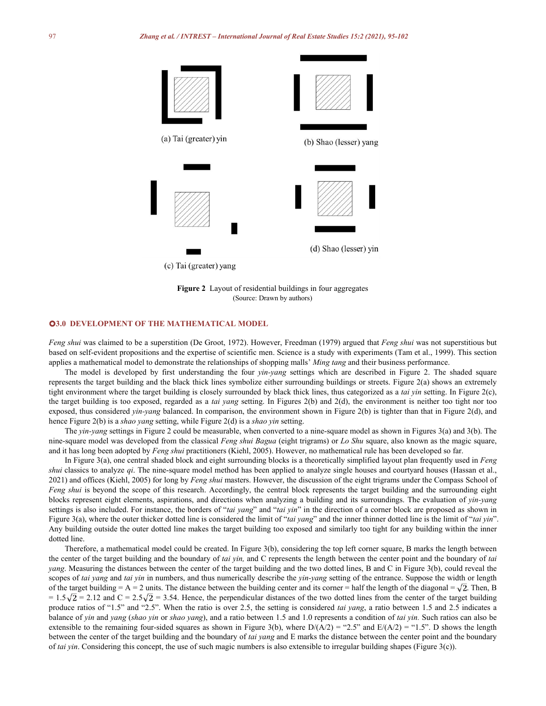

**Figure 2** Layout of residential buildings in four aggregates (Source: Drawn by authors)

# **3.0 DEVELOPMENT OF THE MATHEMATICAL MODEL**

*Feng shui* was claimed to be a superstition (De Groot,1972). However, Freedman (1979) argued that *Feng shui* was not superstitious but based on self-evident propositions and the expertise of scientific men. Science is a study with experiments (Tam et al., 1999). This section applies a mathematical model to demonstrate the relationships of shopping malls' *Ming tang* and their business performance.

The model is developed by first understanding the four *yin-yang* settings which are described in Figure 2. The shaded square represents the target building and the black thick lines symbolize either surrounding buildings or streets. Figure 2(a) shows an extremely tight environment where the target building is closely surrounded by black thick lines, thus categorized as a *tai yin* setting. In Figure 2(c), the target building is too exposed, regarded as a *tai yang* setting. In Figures 2(b) and 2(d), the environment is neither too tight nor too exposed, thus considered *yin-yang* balanced. In comparison, the environment shown in Figure 2(b) is tighter than that in Figure 2(d), and hence Figure 2(b) is a *shao yang* setting, while Figure 2(d) is a *shao yin* setting.

The *yin-yang* settings in Figure 2 could be measurable, when converted to a nine-square model as shown in Figures 3(a) and 3(b). The nine-square model was developed from the classical *Feng shui Bagua* (eight trigrams) or *Lo Shu* square, also known as the magic square, and it has long been adopted by *Feng shui* practitioners (Kiehl, 2005). However, no mathematical rule has been developed so far.

In Figure 3(a), one central shaded block and eight surrounding blocks is a theoretically simplified layout plan frequently used in *Feng shui* classics to analyze *qi*. The nine-square model method has been applied to analyze single houses and courtyard houses (Hassan et al., 2021) and offices (Kiehl, 2005) for long by *Feng shui*masters. However, the discussion of the eight trigrams under the Compass School of *Feng shui* is beyond the scope of this research. Accordingly, the central block represents the target building and the surrounding eight blocks represent eight elements, aspirations, and directions when analyzing a building and its surroundings. The evaluation of *yin-yang* settings is also included. For instance, the borders of "*tai yang*" and "*tai yin*" in the direction of a corner block are proposed as shown in Figure 3(a), where the outer thicker dotted line is considered the limit of "*tai yang*" and the inner thinner dotted line is the limit of "*tai yin*". Any building outside the outer dotted line makes the target building too exposed and similarly too tight for any building within the inner dotted line.

Therefore, a mathematical model could be created. In Figure 3(b), considering the top left corner square, B marks the length between the center of the target building and the boundary of *tai yin,* and C represents the length between the center point and the boundary of *tai yang*. Measuring the distances between the center of the target building and the two dotted lines, B and C in Figure 3(b), could reveal the scopes of *tai yang* and *tai yin* in numbers, and thus numerically describe the *yin-yang* setting of the entrance. Suppose the width or length of the target building = A = 2 units. The distance between the building center and its corner = half the length of the diagonal =  $\sqrt{2}$ . Then, B  $= 1.5\sqrt{2} = 2.12$  and C = 2.5 $\sqrt{2} = 3.54$ . Hence, the perpendicular distances of the two dotted lines from the center of the target building produce ratios of "1.5" and "2.5". When the ratio is over 2.5, the setting is considered *tai yang*, a ratio between 1.5 and 2.5 indicates a balance of *yin* and *yang* (*shao yin* or *shao yang*), and a ratio between 1.5 and 1.0 represents a condition of *tai yin.* Such ratios can also be extensible to the remaining four-sided squares as shown in Figure 3(b), where  $D/(A/2) = "2.5"$  and  $E/(A/2) = "1.5"$ . D shows the length between the center of the target building and the boundary of *tai yang* and E marks the distance between the center point and the boundary of *tai yin*. Considering this concept, the use of such magic numbers is also extensible to irregular building shapes (Figure 3(c)).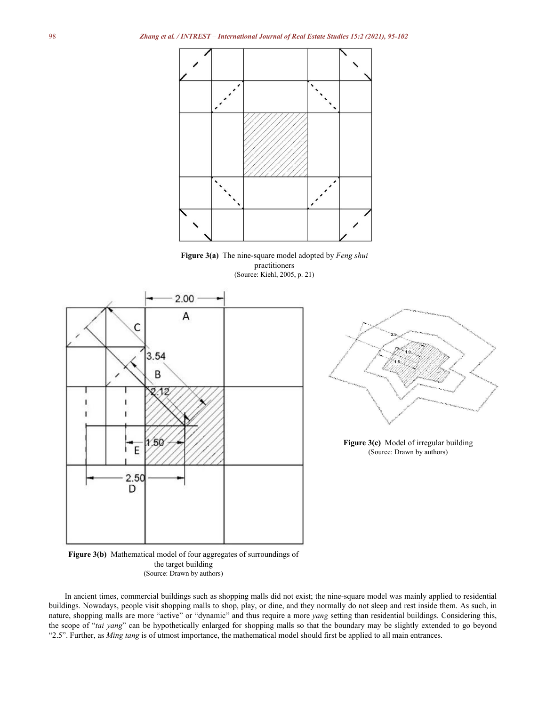

**Figure 3(a)** The nine-square model adopted by *Feng shui* practitioners (Source: Kiehl, 2005, p. 21)





**Figure 3(c)** Model of irregular building (Source: Drawn by authors)



In ancient times, commercial buildings such as shopping malls did not exist; the nine-square model was mainly applied to residential buildings. Nowadays, people visit shopping malls to shop, play, or dine, and they normally do not sleep and rest inside them. As such, in nature, shopping malls are more "active" or "dynamic" and thus require a more *yang* setting than residential buildings. Considering this, the scope of "*tai yang*" can be hypothetically enlarged for shopping malls so that the boundary may be slightly extended to go beyond "2.5". Further, as *Ming tang* is ofutmost importance, the mathematical model should first be applied to all main entrances.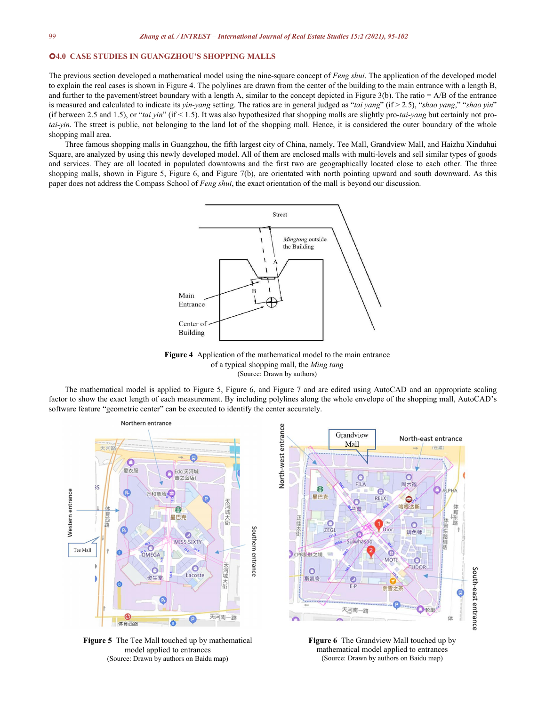### **4.0 CASE STUDIES IN GUANGZHOU'S SHOPPING MALLS**

The previous section developed a mathematical model using the nine-square concept of *Feng shui*. The application of the developed model to explain the real cases is shown in Figure 4. The polylines are drawn from the center of the building to the main entrance with a length B, and further to the pavement/street boundary with a length A, similar to the concept depicted in Figure 3(b). The ratio  $= A/B$  of the entrance is measured and calculated to indicate its *yin-yang* setting. The ratios are in general judged as "*tai yang*" (if > 2.5), "*shao yang*," "*shao yin*" (if between 2.5 and 1.5), or"*tai yin*" (if < 1.5). It was also hypothesized that shopping malls are slightly pro-*tai-yang* but certainly not pro*tai-yin*. The street is public, not belonging to the land lot of the shopping mall. Hence, it is considered the outer boundary of the whole shopping mall area.

Three famous shopping malls in Guangzhou, the fifth largest city of China, namely, Tee Mall, Grandview Mall, and Haizhu Xinduhui Square, are analyzed by using this newly developed model. All of them are enclosed malls with multi-levels and sell similar types of goods and services. They are all located in populated downtowns and the first two are geographically located close to each other. The three shopping malls, shown in Figure 5, Figure 6, and Figure 7(b), are orientated with north pointing upward and south downward.As this paper does not address the Compass School of *Feng shui*, the exact orientation of the mall is beyond our discussion.



**Figure 4** Application of the mathematical model to the main entrance of a typical shopping mall, the *Ming tang* (Source: Drawn by authors)

The mathematical model is applied to Figure 5, Figure 6, and Figure 7 and are edited using AutoCAD and an appropriate scaling factor to show the exact length of each measurement. By including polylines along the whole envelope of the shopping mall, AutoCAD's software feature "geometric center" can be executed to identify the center accurately.



**Figure 5** The Tee Mall touched up by mathematical model applied to entrances (Source: Drawn by authors on Baidu map)



**Figure 6** The Grandview Mall touched up by mathematical model applied to entrances (Source: Drawn by authors on Baidu map)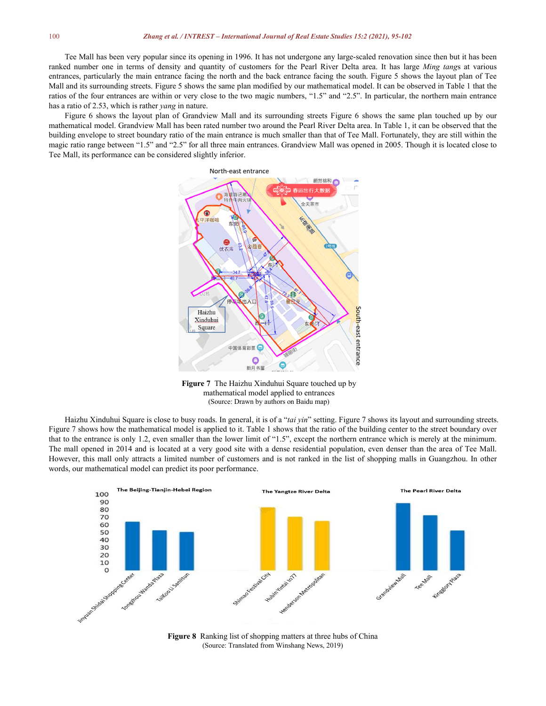Tee Mall has been very popular since its opening in 1996. It has not undergone any large-scaled renovation since then but it has been ranked number one in terms of density and quantity of customers for the Pearl River Delta area. It has large *Ming tang*s at various entrances, particularly the main entrance facing the north and the back entrance facing the south. Figure 5 shows the layout plan of Tee Mall and its surrounding streets. Figure 5 shows the same plan modified by our mathematical model. It can be observed in Table 1 that the ratios of the four entrances are within or very close to the two magic numbers, "1.5" and "2.5". In particular, the northern main entrance has a ratio of 2.53, which is rather *yang* in nature.

Figure 6 shows the layout plan of Grandview Mall and its surrounding streets Figure 6 shows the same plan touched up by our mathematical model. Grandview Mall has been rated number two around the Pearl River Delta area. In Table 1, it can be observed that the building envelope to street boundary ratio of the main entrance is much smaller than that of Tee Mall. Fortunately, they are still within the magic ratio range between "1.5" and "2.5" for all three main entrances. Grandview Mall was opened in 2005. Though it is located close to Tee Mall, its performance can be considered slightly inferior.



**Figure 7** The Haizhu Xinduhui Square touched up by mathematical model applied to entrances (Source: Drawn by authors on Baidu map)

Haizhu Xinduhui Square is close to busy roads. In general, it is of a "*tai yin*" setting. Figure 7 shows its layout and surrounding streets. Figure 7 shows how the mathematical model is applied to it. Table 1 shows that the ratio of the building center to the street boundary over that to the entrance is only 1.2, even smaller than the lower limit of "1.5", except the northern entrance which is merely at the minimum. The mall opened in 2014 and is located at a very good site with a dense residential population, even denser than the area of Tee Mall. However, this mall only attracts a limited number of customers and is not ranked in the list of shopping malls in Guangzhou. In other words, our mathematical model can predict its poor performance.



**Figure 8** Ranking list of shopping matters at three hubs of China (Source: Translated from Winshang News, 2019)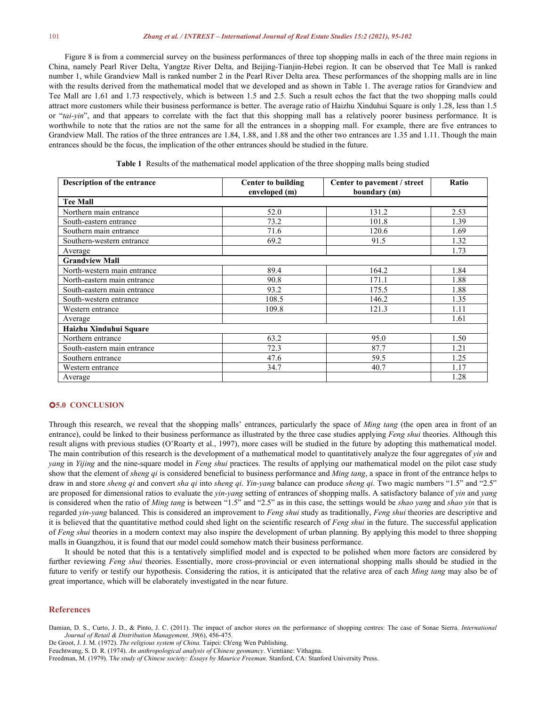#### 101 *Zhang et al. / INTREST – International Journal of Real Estate Studies 15:2 (2021), 95-102*

Figure 8 is from a commercial survey on the business performances of three top shopping malls in each of the three main regions in China, namely Pearl River Delta, Yangtze River Delta, and Beijing-Tianjin-Hebei region. It can be observed that Tee Mall is ranked number 1, while Grandview Mall is ranked number 2 in the Pearl River Delta area. These performances of the shopping malls are in line with the results derived from the mathematical model that we developed and as shown in Table 1.The average ratios for Grandview and Tee Mall are 1.61 and 1.73 respectively, which is between 1.5 and 2.5. Such a result echos the fact that the two shopping malls could attract more customers while their business performance isbetter. The average ratio of Haizhu Xinduhui Square is only 1.28, less than 1.5 or "*tai-yin*", and that appears to correlate with the fact that this shopping mall has a relatively poorer business performance. It is worthwhile to note that the ratios are not the same for all the entrances in a shopping mall. For example, there are five entrances to Grandview Mall. The ratios of the three entrances are 1.84, 1.88, and 1.88 and the other two entrances are 1.35 and 1.11. Though the main entrances should be the focus, the implication of the other entrances should be studied in the future.

**Table 1** Results of the mathematical model application of the three shopping malls being studied

| Description of the entrance | <b>Center to building</b> | Center to pavement / street | Ratio |
|-----------------------------|---------------------------|-----------------------------|-------|
|                             | enveloped (m)             | boundary (m)                |       |
| <b>Tee Mall</b>             |                           |                             |       |
| Northern main entrance      | 52.0                      | 131.2                       | 2.53  |
| South-eastern entrance      | 73.2                      | 101.8                       | 1.39  |
| Southern main entrance      | 71.6                      | 120.6                       | 1.69  |
| Southern-western entrance   | 69.2                      | 91.5                        | 1.32  |
| Average                     |                           |                             | 1.73  |
| <b>Grandview Mall</b>       |                           |                             |       |
| North-western main entrance | 89.4                      | 164.2                       | 1.84  |
| North-eastern main entrance | 90.8                      | 171.1                       | 1.88  |
| South-eastern main entrance | 93.2                      | 175.5                       | 1.88  |
| South-western entrance      | 108.5                     | 146.2                       | 1.35  |
| Western entrance            | 109.8                     | 121.3                       | 1.11  |
| Average                     |                           |                             | 1.61  |
| Haizhu Xinduhui Square      |                           |                             |       |
| Northern entrance           | 63.2                      | 95.0                        | 1.50  |
| South-eastern main entrance | 72.3                      | 87.7                        | 1.21  |
| Southern entrance           | 47.6                      | 59.5                        | 1.25  |
| Western entrance            | 34.7                      | 40.7                        | 1.17  |
| Average                     |                           |                             | 1.28  |

# **5.0 CONCLUSION**

Through this research, we reveal that the shopping malls' entrances, particularly the space of *Ming tang* (the open area in front of an entrance), could be linked to their business performance as illustrated by the three case studies applying *Feng shui* theories. Although this result aligns with previous studies (O'Roarty et al., 1997), more cases will be studied in the future by adopting this mathematical model. The main contribution of this research is the development of a mathematical model to quantitatively analyze the four aggregates of *yin* and *yang* in *Yijing* and the nine-square model in *Feng shui* practices. The results of applying our mathematical model on the pilot case study show that the element of *sheng qi* is considered beneficialto business performance and *Ming tang*, a space in front of the entrance helps to draw in and store *sheng qi* and convert *sha qi* into *sheng qi*. *Yin-yang* balance can produce *sheng qi*. Two magic numbers "1.5" and "2.5" are proposed for dimensional ratios to evaluate the *yin-yang* setting of entrances of shopping malls. A satisfactory balance of *yin* and *yang* is considered when the ratio of *Ming tang* is between "1.5" and "2.5" as in this case, the settings would be *shao yang* and *shao yin* that is regarded *yin-yang* balanced. This is considered an improvement to *Feng shui* study as traditionally, *Feng shui* theories are descriptive and it is believed that the quantitative method could shed light on the scientific research of *Feng shui* in the future. The successful application of *Feng shui* theories in a modern context may also inspire the development of urban planning. By applying this model to three shopping malls in Guangzhou, it is found that our model could somehow match their business performance.

It should be noted that this is a tentatively simplified model and is expected to be polished when more factors are considered by further reviewing *Feng shui* theories. Essentially, more cross-provincial or even international shopping malls should be studied in the future to verify or testify our hypothesis. Considering the ratios, it is anticipated that the relative area of each *Ming tang* may also be of great importance, which will be elaborately investigated in the near future.

# **References**

Damian, D. S., Curto, J. D., & Pinto, J. C. (2011). The impact of anchor stores on the performance of shopping centres: The case of Sonae Sierra. *International Journal of Retail & Distribution Management, 39*(6), 456-475.

De Groot, J. J. M. (1972). *The religious system of China.* Taipei: Ch'eng Wen Publishing.

Feuchtwang, S. D. R. (1974). *An anthropological analysis of Chinese geomancy*. Vientiane: Vithagna.

Freedman, M. (1979). T*he study of Chinese society: Essays by Maurice Freeman*. Stanford, CA: Stanford University Press.